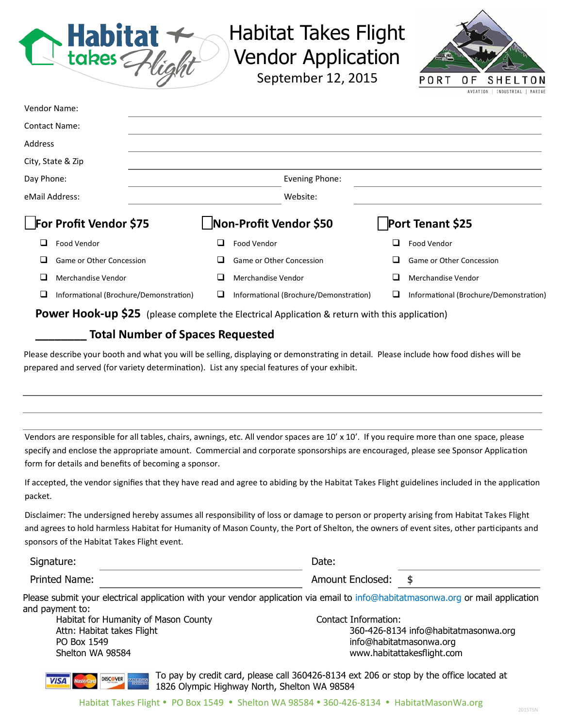

## Habitat Takes Flight Vendor Application

September 12, 2015



| eMail Address:       | Website:       |  |
|----------------------|----------------|--|
| Day Phone:           | Evening Phone: |  |
|                      |                |  |
| City, State & Zip    |                |  |
| Address              |                |  |
| <b>Contact Name:</b> |                |  |
| <b>Vendor Name:</b>  |                |  |

 $\Box$  Game or Other Concession  $\Box$  Game or Other Concession  $\Box$  Game or Other Concession  $\Box$  Merchandise Vendor  $\Box$  Merchandise Vendor  $\Box$  Merchandise Vendor  $\Box$  Merchandise Vendor Informational (Brochure/Demonstration) Informational (Brochure/Demonstration) Informational (Brochure/Demonstration)

**Power Hook-up \$25** (please complete the Electrical Application & return with this application)

## **\_\_\_\_\_\_\_\_ Total Number of Spaces Requested**

Please describe your booth and what you will be selling, displaying or demonstrating in detail. Please include how food dishes will be prepared and served (for variety determination). List any special features of your exhibit.

Vendors are responsible for all tables, chairs, awnings, etc. All vendor spaces are 10' x 10'. If you require more than one space, please specify and enclose the appropriate amount. Commercial and corporate sponsorships are encouraged, please see Sponsor Application form for details and benefits of becoming a sponsor.

If accepted, the vendor signifies that they have read and agree to abiding by the Habitat Takes Flight guidelines included in the application packet.

Disclaimer: The undersigned hereby assumes all responsibility of loss or damage to person or property arising from Habitat Takes Flight and agrees to hold harmless Habitat for Humanity of Mason County, the Port of Shelton, the owners of event sites, other participants and sponsors of the Habitat Takes Flight event.

| Signature:    | Date.            |  |
|---------------|------------------|--|
| Printed Name: | Amount Enclosed: |  |

Please submit your electrical application with your vendor application via email to info@habitatmasonwa.org or mail application and payment to:

Habitat for Humanity of Mason County The Contact Information: PO Box 1549 **info@habitatmasonwa.org** Shelton WA 98584 www.habitattakesflight.com

**DISCOVER** 

**VISA** 

Attn: Habitat takes Flight 360-426-8134 info@habitatmasonwa.org

To pay by credit card, please call 360426-8134 ext 206 or stop by the office located at 1826 Olympic Highway North, Shelton WA 98584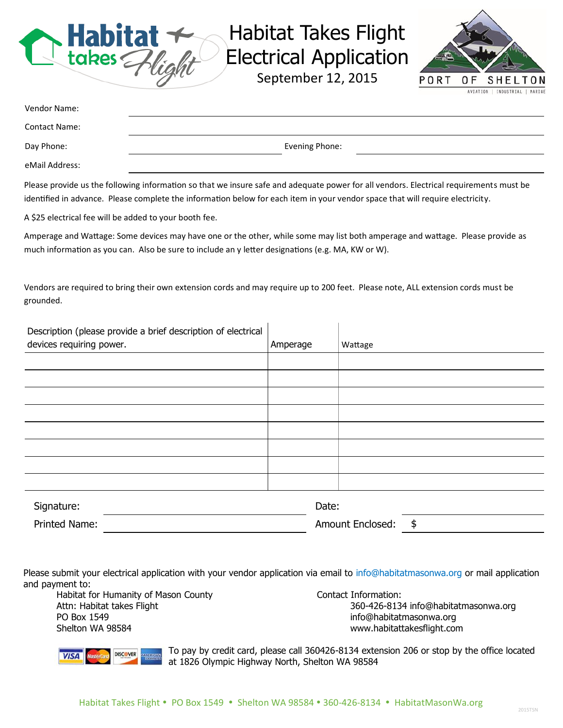

## Habitat Takes Flight Electrical Application

September 12, 2015



| Vendor Name:         |                |
|----------------------|----------------|
| <b>Contact Name:</b> |                |
| Day Phone:           | Evening Phone: |
| eMail Address:       |                |

Please provide us the following information so that we insure safe and adequate power for all vendors. Electrical requirements must be identified in advance. Please complete the information below for each item in your vendor space that will require electricity.

A \$25 electrical fee will be added to your booth fee.

Amperage and Wattage: Some devices may have one or the other, while some may list both amperage and wattage. Please provide as much information as you can. Also be sure to include an y letter designations (e.g. MA, KW or W).

Vendors are required to bring their own extension cords and may require up to 200 feet. Please note, ALL extension cords must be grounded.

| Description (please provide a brief description of electrical |          |                        |
|---------------------------------------------------------------|----------|------------------------|
| devices requiring power.                                      | Amperage | Wattage                |
|                                                               |          |                        |
|                                                               |          |                        |
|                                                               |          |                        |
|                                                               |          |                        |
|                                                               |          |                        |
|                                                               |          |                        |
|                                                               |          |                        |
|                                                               |          |                        |
| Signature:                                                    | Date:    |                        |
| <b>Printed Name:</b>                                          |          | \$<br>Amount Enclosed: |

Please submit your electrical application with your vendor application via email to info@habitatmasonwa.org or mail application and payment to:

Habitat for Humanity of Mason County The Contact Information: PO Box 1549 **info@habitatmasonwa.org** Shelton WA 98584 www.habitattakesflight.com

Attn: Habitat takes Flight 360-426-8134 info@habitatmasonwa.org



To pay by credit card, please call 360426-8134 extension 206 or stop by the office located at 1826 Olympic Highway North, Shelton WA 98584